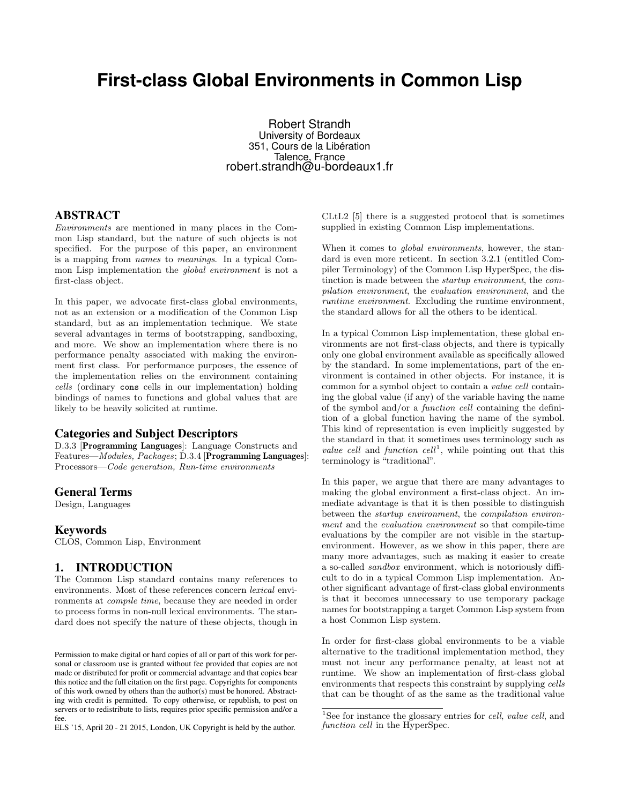# **First-class Global Environments in Common Lisp**

Robert Strandh University of Bordeaux 351, Cours de la Libération Talence, France robert.strandh@u-bordeaux1.fr

#### ABSTRACT

Environments are mentioned in many places in the Common Lisp standard, but the nature of such objects is not specified. For the purpose of this paper, an environment is a mapping from names to meanings. In a typical Common Lisp implementation the global environment is not a first-class object.

In this paper, we advocate first-class global environments, not as an extension or a modification of the Common Lisp standard, but as an implementation technique. We state several advantages in terms of bootstrapping, sandboxing, and more. We show an implementation where there is no performance penalty associated with making the environment first class. For performance purposes, the essence of the implementation relies on the environment containing cells (ordinary cons cells in our implementation) holding bindings of names to functions and global values that are likely to be heavily solicited at runtime.

#### Categories and Subject Descriptors

D.3.3 [Programming Languages]: Language Constructs and Features—Modules, Packages; D.3.4 [Programming Languages]: Processors—Code generation, Run-time environments

#### General Terms

Design, Languages

#### Keywords

CLOS, Common Lisp, Environment

#### 1. INTRODUCTION

The Common Lisp standard contains many references to environments. Most of these references concern lexical environments at compile time, because they are needed in order to process forms in non-null lexical environments. The standard does not specify the nature of these objects, though in

ELS '15, April 20 - 21 2015, London, UK Copyright is held by the author.

CLtL2 [5] there is a suggested protocol that is sometimes supplied in existing Common Lisp implementations.

When it comes to *global environments*, however, the standard is even more reticent. In section 3.2.1 (entitled Compiler Terminology) of the Common Lisp HyperSpec, the distinction is made between the startup environment, the compilation environment, the evaluation environment, and the runtime environment. Excluding the runtime environment, the standard allows for all the others to be identical.

In a typical Common Lisp implementation, these global environments are not first-class objects, and there is typically only one global environment available as specifically allowed by the standard. In some implementations, part of the environment is contained in other objects. For instance, it is common for a symbol object to contain a value cell containing the global value (if any) of the variable having the name of the symbol and/or a function cell containing the definition of a global function having the name of the symbol. This kind of representation is even implicitly suggested by the standard in that it sometimes uses terminology such as value cell and function  $cell^1$ , while pointing out that this terminology is "traditional".

In this paper, we argue that there are many advantages to making the global environment a first-class object. An immediate advantage is that it is then possible to distinguish between the startup environment, the compilation environment and the evaluation environment so that compile-time evaluations by the compiler are not visible in the startupenvironment. However, as we show in this paper, there are many more advantages, such as making it easier to create a so-called sandbox environment, which is notoriously difficult to do in a typical Common Lisp implementation. Another significant advantage of first-class global environments is that it becomes unnecessary to use temporary package names for bootstrapping a target Common Lisp system from a host Common Lisp system.

In order for first-class global environments to be a viable alternative to the traditional implementation method, they must not incur any performance penalty, at least not at runtime. We show an implementation of first-class global environments that respects this constraint by supplying cells that can be thought of as the same as the traditional value

Permission to make digital or hard copies of all or part of this work for personal or classroom use is granted without fee provided that copies are not made or distributed for profit or commercial advantage and that copies bear this notice and the full citation on the first page. Copyrights for components of this work owned by others than the author(s) must be honored. Abstracting with credit is permitted. To copy otherwise, or republish, to post on servers or to redistribute to lists, requires prior specific permission and/or a fee.

<sup>&</sup>lt;sup>1</sup>See for instance the glossary entries for *cell*, *value cell*, and function cell in the HyperSpec.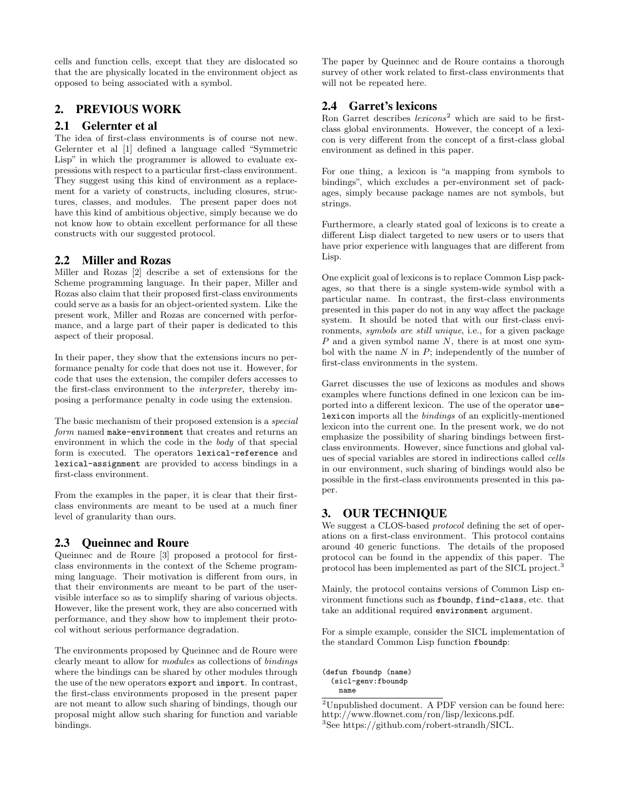cells and function cells, except that they are dislocated so that the are physically located in the environment object as opposed to being associated with a symbol.

# 2. PREVIOUS WORK

# 2.1 Gelernter et al

The idea of first-class environments is of course not new. Gelernter et al [1] defined a language called "Symmetric Lisp" in which the programmer is allowed to evaluate expressions with respect to a particular first-class environment. They suggest using this kind of environment as a replacement for a variety of constructs, including closures, structures, classes, and modules. The present paper does not have this kind of ambitious objective, simply because we do not know how to obtain excellent performance for all these constructs with our suggested protocol.

# 2.2 Miller and Rozas

Miller and Rozas [2] describe a set of extensions for the Scheme programming language. In their paper, Miller and Rozas also claim that their proposed first-class environments could serve as a basis for an object-oriented system. Like the present work, Miller and Rozas are concerned with performance, and a large part of their paper is dedicated to this aspect of their proposal.

In their paper, they show that the extensions incurs no performance penalty for code that does not use it. However, for code that uses the extension, the compiler defers accesses to the first-class environment to the interpreter, thereby imposing a performance penalty in code using the extension.

The basic mechanism of their proposed extension is a special form named make-environment that creates and returns an environment in which the code in the body of that special form is executed. The operators lexical-reference and lexical-assignment are provided to access bindings in a first-class environment.

From the examples in the paper, it is clear that their firstclass environments are meant to be used at a much finer level of granularity than ours.

# 2.3 Queinnec and Roure

Queinnec and de Roure [3] proposed a protocol for firstclass environments in the context of the Scheme programming language. Their motivation is different from ours, in that their environments are meant to be part of the uservisible interface so as to simplify sharing of various objects. However, like the present work, they are also concerned with performance, and they show how to implement their protocol without serious performance degradation.

The environments proposed by Queinnec and de Roure were clearly meant to allow for modules as collections of bindings where the bindings can be shared by other modules through the use of the new operators export and import. In contrast, the first-class environments proposed in the present paper are not meant to allow such sharing of bindings, though our proposal might allow such sharing for function and variable bindings.

The paper by Queinnec and de Roure contains a thorough survey of other work related to first-class environments that will not be repeated here.

#### 2.4 Garret's lexicons

Ron Garret describes  $lexicons<sup>2</sup>$  which are said to be firstclass global environments. However, the concept of a lexicon is very different from the concept of a first-class global environment as defined in this paper.

For one thing, a lexicon is "a mapping from symbols to bindings", which excludes a per-environment set of packages, simply because package names are not symbols, but strings.

Furthermore, a clearly stated goal of lexicons is to create a different Lisp dialect targeted to new users or to users that have prior experience with languages that are different from Lisp.

One explicit goal of lexicons is to replace Common Lisp packages, so that there is a single system-wide symbol with a particular name. In contrast, the first-class environments presented in this paper do not in any way affect the package system. It should be noted that with our first-class environments, symbols are still unique, i.e., for a given package  $P$  and a given symbol name  $N$ , there is at most one symbol with the name  $N$  in  $P$ ; independently of the number of first-class environments in the system.

Garret discusses the use of lexicons as modules and shows examples where functions defined in one lexicon can be imported into a different lexicon. The use of the operator uselexicon imports all the bindings of an explicitly-mentioned lexicon into the current one. In the present work, we do not emphasize the possibility of sharing bindings between firstclass environments. However, since functions and global values of special variables are stored in indirections called cells in our environment, such sharing of bindings would also be possible in the first-class environments presented in this paper.

# 3. OUR TECHNIQUE

We suggest a CLOS-based *protocol* defining the set of operations on a first-class environment. This protocol contains around 40 generic functions. The details of the proposed protocol can be found in the appendix of this paper. The protocol has been implemented as part of the SICL project.<sup>3</sup>

Mainly, the protocol contains versions of Common Lisp environment functions such as fboundp, find-class, etc. that take an additional required environment argument.

For a simple example, consider the SICL implementation of the standard Common Lisp function fboundp:

(defun fboundp (name) (sicl-genv:fboundp name

<sup>&</sup>lt;sup>2</sup>Unpublished document. A PDF version can be found here: http://www.flownet.com/ron/lisp/lexicons.pdf. <sup>3</sup>See https://github.com/robert-strandh/SICL.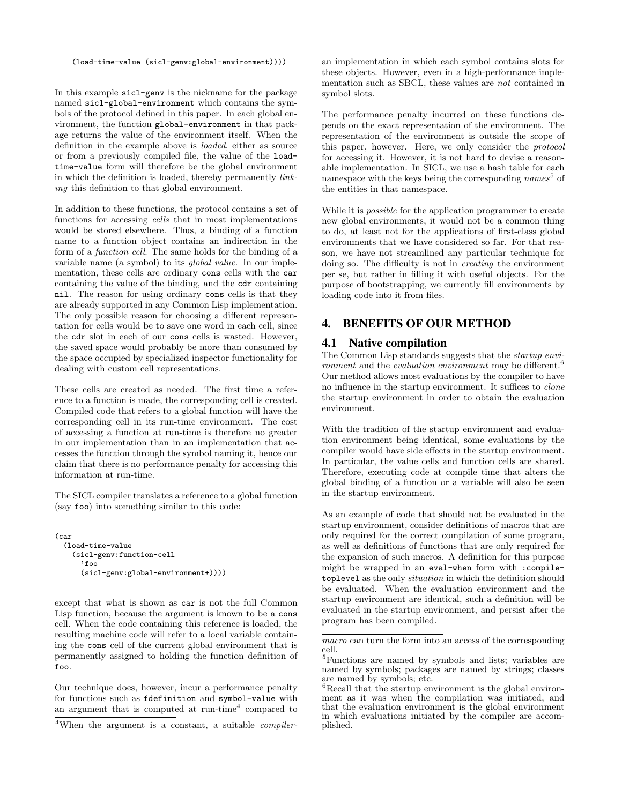(load-time-value (sicl-genv:global-environment))))

In this example sicl-genv is the nickname for the package named sicl-global-environment which contains the symbols of the protocol defined in this paper. In each global environment, the function global-environment in that package returns the value of the environment itself. When the definition in the example above is loaded, either as source or from a previously compiled file, the value of the loadtime-value form will therefore be the global environment in which the definition is loaded, thereby permanently linking this definition to that global environment.

In addition to these functions, the protocol contains a set of functions for accessing cells that in most implementations would be stored elsewhere. Thus, a binding of a function name to a function object contains an indirection in the form of a function cell. The same holds for the binding of a variable name (a symbol) to its global value. In our implementation, these cells are ordinary cons cells with the car containing the value of the binding, and the cdr containing nil. The reason for using ordinary cons cells is that they are already supported in any Common Lisp implementation. The only possible reason for choosing a different representation for cells would be to save one word in each cell, since the cdr slot in each of our cons cells is wasted. However, the saved space would probably be more than consumed by the space occupied by specialized inspector functionality for dealing with custom cell representations.

These cells are created as needed. The first time a reference to a function is made, the corresponding cell is created. Compiled code that refers to a global function will have the corresponding cell in its run-time environment. The cost of accessing a function at run-time is therefore no greater in our implementation than in an implementation that accesses the function through the symbol naming it, hence our claim that there is no performance penalty for accessing this information at run-time.

The SICL compiler translates a reference to a global function (say foo) into something similar to this code:

```
(car
(load-time-value
  (sicl-genv:function-cell
    'foo
    (sicl-genv:global-environment+))))
```
except that what is shown as car is not the full Common Lisp function, because the argument is known to be a cons cell. When the code containing this reference is loaded, the resulting machine code will refer to a local variable containing the cons cell of the current global environment that is permanently assigned to holding the function definition of foo.

Our technique does, however, incur a performance penalty for functions such as fdefinition and symbol-value with an argument that is computed at run-time<sup>4</sup> compared to

an implementation in which each symbol contains slots for these objects. However, even in a high-performance implementation such as SBCL, these values are not contained in symbol slots.

The performance penalty incurred on these functions depends on the exact representation of the environment. The representation of the environment is outside the scope of this paper, however. Here, we only consider the protocol for accessing it. However, it is not hard to devise a reasonable implementation. In SICL, we use a hash table for each namespace with the keys being the corresponding  $names^5$  of the entities in that namespace.

While it is *possible* for the application programmer to create new global environments, it would not be a common thing to do, at least not for the applications of first-class global environments that we have considered so far. For that reason, we have not streamlined any particular technique for doing so. The difficulty is not in creating the environment per se, but rather in filling it with useful objects. For the purpose of bootstrapping, we currently fill environments by loading code into it from files.

# 4. BENEFITS OF OUR METHOD

# 4.1 Native compilation

The Common Lisp standards suggests that the startup environment and the *evaluation environment* may be different.<sup>6</sup> Our method allows most evaluations by the compiler to have no influence in the startup environment. It suffices to clone the startup environment in order to obtain the evaluation environment.

With the tradition of the startup environment and evaluation environment being identical, some evaluations by the compiler would have side effects in the startup environment. In particular, the value cells and function cells are shared. Therefore, executing code at compile time that alters the global binding of a function or a variable will also be seen in the startup environment.

As an example of code that should not be evaluated in the startup environment, consider definitions of macros that are only required for the correct compilation of some program, as well as definitions of functions that are only required for the expansion of such macros. A definition for this purpose might be wrapped in an eval-when form with :compiletoplevel as the only situation in which the definition should be evaluated. When the evaluation environment and the startup environment are identical, such a definition will be evaluated in the startup environment, and persist after the program has been compiled.

<sup>&</sup>lt;sup>4</sup>When the argument is a constant, a suitable *compiler*-

macro can turn the form into an access of the corresponding cell.

<sup>5</sup>Functions are named by symbols and lists; variables are named by symbols; packages are named by strings; classes are named by symbols; etc.

<sup>&</sup>lt;sup>6</sup>Recall that the startup environment is the global environment as it was when the compilation was initiated, and that the evaluation environment is the global environment in which evaluations initiated by the compiler are accomplished.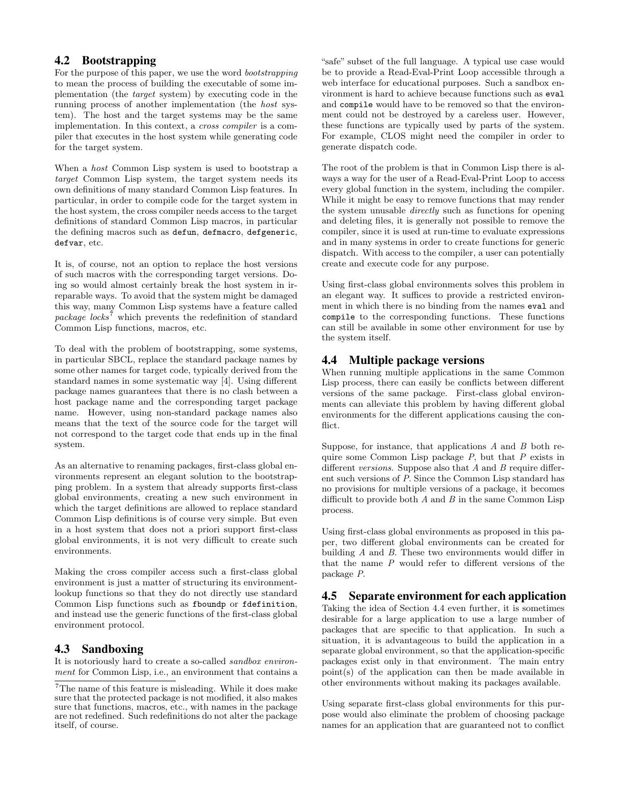# 4.2 Bootstrapping

For the purpose of this paper, we use the word bootstrapping to mean the process of building the executable of some implementation (the target system) by executing code in the running process of another implementation (the host system). The host and the target systems may be the same implementation. In this context, a cross compiler is a compiler that executes in the host system while generating code for the target system.

When a host Common Lisp system is used to bootstrap a target Common Lisp system, the target system needs its own definitions of many standard Common Lisp features. In particular, in order to compile code for the target system in the host system, the cross compiler needs access to the target definitions of standard Common Lisp macros, in particular the defining macros such as defun, defmacro, defgeneric, defvar, etc.

It is, of course, not an option to replace the host versions of such macros with the corresponding target versions. Doing so would almost certainly break the host system in irreparable ways. To avoid that the system might be damaged this way, many Common Lisp systems have a feature called package  $locks^7$  which prevents the redefinition of standard Common Lisp functions, macros, etc.

To deal with the problem of bootstrapping, some systems, in particular SBCL, replace the standard package names by some other names for target code, typically derived from the standard names in some systematic way [4]. Using different package names guarantees that there is no clash between a host package name and the corresponding target package name. However, using non-standard package names also means that the text of the source code for the target will not correspond to the target code that ends up in the final system.

As an alternative to renaming packages, first-class global environments represent an elegant solution to the bootstrapping problem. In a system that already supports first-class global environments, creating a new such environment in which the target definitions are allowed to replace standard Common Lisp definitions is of course very simple. But even in a host system that does not a priori support first-class global environments, it is not very difficult to create such environments.

Making the cross compiler access such a first-class global environment is just a matter of structuring its environmentlookup functions so that they do not directly use standard Common Lisp functions such as fboundp or fdefinition, and instead use the generic functions of the first-class global environment protocol.

# 4.3 Sandboxing

It is notoriously hard to create a so-called sandbox environment for Common Lisp, i.e., an environment that contains a "safe" subset of the full language. A typical use case would be to provide a Read-Eval-Print Loop accessible through a web interface for educational purposes. Such a sandbox environment is hard to achieve because functions such as eval and compile would have to be removed so that the environment could not be destroyed by a careless user. However, these functions are typically used by parts of the system. For example, CLOS might need the compiler in order to generate dispatch code.

The root of the problem is that in Common Lisp there is always a way for the user of a Read-Eval-Print Loop to access every global function in the system, including the compiler. While it might be easy to remove functions that may render the system unusable directly such as functions for opening and deleting files, it is generally not possible to remove the compiler, since it is used at run-time to evaluate expressions and in many systems in order to create functions for generic dispatch. With access to the compiler, a user can potentially create and execute code for any purpose.

Using first-class global environments solves this problem in an elegant way. It suffices to provide a restricted environment in which there is no binding from the names eval and compile to the corresponding functions. These functions can still be available in some other environment for use by the system itself.

# 4.4 Multiple package versions

When running multiple applications in the same Common Lisp process, there can easily be conflicts between different versions of the same package. First-class global environments can alleviate this problem by having different global environments for the different applications causing the conflict.

Suppose, for instance, that applications  $A$  and  $B$  both require some Common Lisp package  $P$ , but that  $P$  exists in different versions. Suppose also that  $A$  and  $B$  require different such versions of P. Since the Common Lisp standard has no provisions for multiple versions of a package, it becomes difficult to provide both  $A$  and  $B$  in the same Common Lisp process.

Using first-class global environments as proposed in this paper, two different global environments can be created for building A and B. These two environments would differ in that the name P would refer to different versions of the package P.

# 4.5 Separate environment for each application

Taking the idea of Section 4.4 even further, it is sometimes desirable for a large application to use a large number of packages that are specific to that application. In such a situation, it is advantageous to build the application in a separate global environment, so that the application-specific packages exist only in that environment. The main entry point(s) of the application can then be made available in other environments without making its packages available.

Using separate first-class global environments for this purpose would also eliminate the problem of choosing package names for an application that are guaranteed not to conflict

 $\mathrm{^{7}The}$  name of this feature is misleading. While it does make sure that the protected package is not modified, it also makes sure that functions, macros, etc., with names in the package are not redefined. Such redefinitions do not alter the package itself, of course.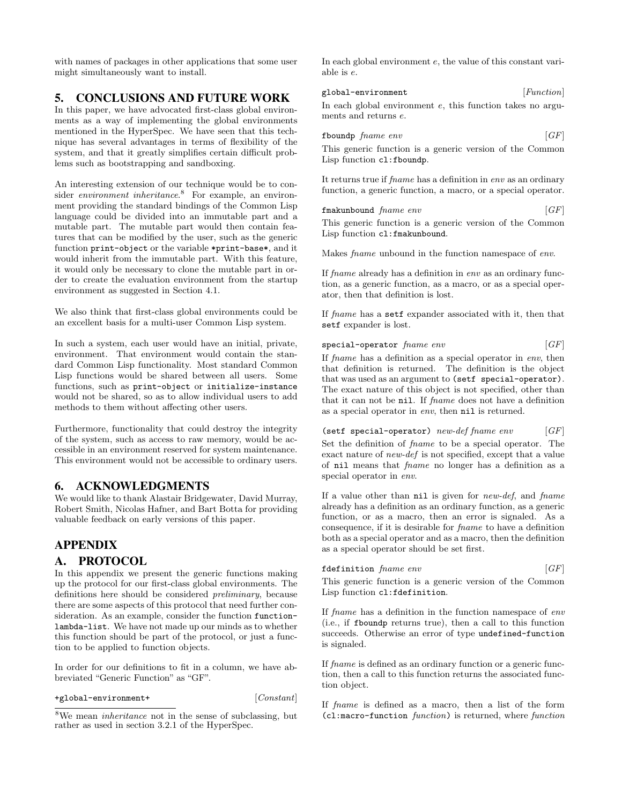with names of packages in other applications that some user might simultaneously want to install.

# 5. CONCLUSIONS AND FUTURE WORK

In this paper, we have advocated first-class global environments as a way of implementing the global environments mentioned in the HyperSpec. We have seen that this technique has several advantages in terms of flexibility of the system, and that it greatly simplifies certain difficult problems such as bootstrapping and sandboxing.

An interesting extension of our technique would be to consider *environment inheritance*.<sup>8</sup> For example, an environment providing the standard bindings of the Common Lisp language could be divided into an immutable part and a mutable part. The mutable part would then contain features that can be modified by the user, such as the generic function print-object or the variable \*print-base\*, and it would inherit from the immutable part. With this feature, it would only be necessary to clone the mutable part in order to create the evaluation environment from the startup environment as suggested in Section 4.1.

We also think that first-class global environments could be an excellent basis for a multi-user Common Lisp system.

In such a system, each user would have an initial, private, environment. That environment would contain the standard Common Lisp functionality. Most standard Common Lisp functions would be shared between all users. Some functions, such as print-object or initialize-instance would not be shared, so as to allow individual users to add methods to them without affecting other users.

Furthermore, functionality that could destroy the integrity of the system, such as access to raw memory, would be accessible in an environment reserved for system maintenance. This environment would not be accessible to ordinary users.

# 6. ACKNOWLEDGMENTS

We would like to thank Alastair Bridgewater, David Murray, Robert Smith, Nicolas Hafner, and Bart Botta for providing valuable feedback on early versions of this paper.

# APPENDIX

#### A. PROTOCOL

In this appendix we present the generic functions making up the protocol for our first-class global environments. The definitions here should be considered preliminary, because there are some aspects of this protocol that need further consideration. As an example, consider the function functionlambda-list. We have not made up our minds as to whether this function should be part of the protocol, or just a function to be applied to function objects.

In order for our definitions to fit in a column, we have abbreviated "Generic Function" as "GF".

#### +global-environment+ [Constant]

In each global environment e, the value of this constant variable is e.

global-environment [Function] In each global environment e, this function takes no arguments and returns e.

| fboundp fname env |  |  |  | [GF] |  |
|-------------------|--|--|--|------|--|
|-------------------|--|--|--|------|--|

This generic function is a generic version of the Common Lisp function cl:fboundp.

It returns true if fname has a definition in env as an ordinary function, a generic function, a macro, or a special operator.

| fmakunbound fname env | [GF] |
|-----------------------|------|
|                       |      |

This generic function is a generic version of the Common Lisp function cl:fmakunbound.

Makes fname unbound in the function namespace of env.

If fname already has a definition in env as an ordinary function, as a generic function, as a macro, or as a special operator, then that definition is lost.

If fname has a setf expander associated with it, then that setf expander is lost.

 $special-operator frame env$  [GF]

If fname has a definition as a special operator in env, then that definition is returned. The definition is the object that was used as an argument to (setf special-operator). The exact nature of this object is not specified, other than that it can not be nil. If fname does not have a definition as a special operator in env, then nil is returned.

(setf special-operator) new-def fname env  $[GF]$ Set the definition of fname to be a special operator. The exact nature of new-def is not specified, except that a value of nil means that fname no longer has a definition as a special operator in env.

If a value other than  $nil$  is given for *new-def*, and *fname* already has a definition as an ordinary function, as a generic function, or as a macro, then an error is signaled. As a consequence, if it is desirable for fname to have a definition both as a special operator and as a macro, then the definition as a special operator should be set first.

fdefinition fname env [GF]

This generic function is a generic version of the Common Lisp function cl:fdefinition.

If fname has a definition in the function namespace of env (i.e., if fboundp returns true), then a call to this function succeeds. Otherwise an error of type undefined-function is signaled.

If fname is defined as an ordinary function or a generic function, then a call to this function returns the associated function object.

If fname is defined as a macro, then a list of the form (cl:macro-function function) is returned, where function

 $8$ We mean *inheritance* not in the sense of subclassing, but rather as used in section 3.2.1 of the HyperSpec.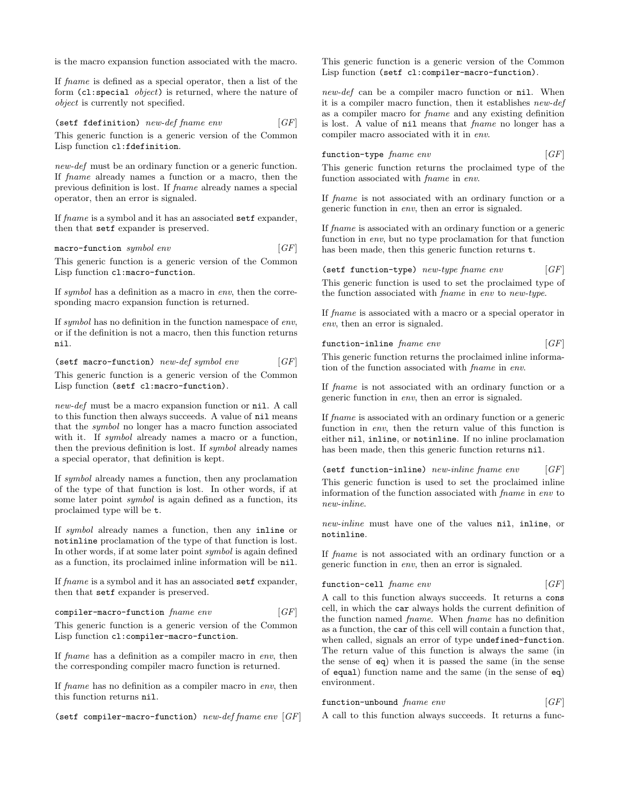is the macro expansion function associated with the macro.

If fname is defined as a special operator, then a list of the form (cl:special object) is returned, where the nature of object is currently not specified.

(setf fdefinition) new-def fname env  $[GF]$ This generic function is a generic version of the Common Lisp function cl:fdefinition.

new-def must be an ordinary function or a generic function. If fname already names a function or a macro, then the previous definition is lost. If fname already names a special operator, then an error is signaled.

If fname is a symbol and it has an associated setf expander, then that setf expander is preserved.

macro-function symbol env  $[GF]$ 

This generic function is a generic version of the Common Lisp function cl:macro-function.

If symbol has a definition as a macro in env, then the corresponding macro expansion function is returned.

If symbol has no definition in the function namespace of env, or if the definition is not a macro, then this function returns nil.

$$
(set function) new-def symbol env
$$
 [GF]

This generic function is a generic version of the Common Lisp function (setf cl:macro-function).

new-def must be a macro expansion function or nil. A call to this function then always succeeds. A value of nil means that the symbol no longer has a macro function associated with it. If *symbol* already names a macro or a function, then the previous definition is lost. If symbol already names a special operator, that definition is kept.

If symbol already names a function, then any proclamation of the type of that function is lost. In other words, if at some later point symbol is again defined as a function, its proclaimed type will be t.

If symbol already names a function, then any inline or notinline proclamation of the type of that function is lost. In other words, if at some later point symbol is again defined as a function, its proclaimed inline information will be nil.

If fname is a symbol and it has an associated setf expander, then that setf expander is preserved.

compiler-macro-function  $fname\ env$  [GF]

This generic function is a generic version of the Common Lisp function cl:compiler-macro-function.

If fname has a definition as a compiler macro in env, then the corresponding compiler macro function is returned.

If fname has no definition as a compiler macro in env, then this function returns nil.

(setf compiler-macro-function)  $new\text{-}define\ env\ [GF]$ 

This generic function is a generic version of the Common Lisp function (setf cl:compiler-macro-function).

new-def can be a compiler macro function or nil. When it is a compiler macro function, then it establishes new-def as a compiler macro for fname and any existing definition is lost. A value of nil means that fname no longer has a compiler macro associated with it in env.

function-type  $\text{frame}$  env  $\begin{bmatrix} GF \end{bmatrix}$ 

This generic function returns the proclaimed type of the function associated with fname in env.

If fname is not associated with an ordinary function or a generic function in env, then an error is signaled.

If fname is associated with an ordinary function or a generic function in env, but no type proclamation for that function has been made, then this generic function returns t.

(setf function-type) new-type fname env  $[GF]$ This generic function is used to set the proclaimed type of the function associated with fname in env to new-type.

If fname is associated with a macro or a special operator in env, then an error is signaled.

function-inline  $\text{frame}$   $\text{env}$  [GF]

This generic function returns the proclaimed inline information of the function associated with fname in env.

If fname is not associated with an ordinary function or a generic function in env, then an error is signaled.

If fname is associated with an ordinary function or a generic function in env, then the return value of this function is either nil, inline, or notinline. If no inline proclamation has been made, then this generic function returns nil.

(setf function-inline) new-inline fname env  $[GF]$ 

This generic function is used to set the proclaimed inline information of the function associated with fname in env to new-inline.

new-inline must have one of the values nil, inline, or notinline.

If fname is not associated with an ordinary function or a generic function in env, then an error is signaled.

function-cell fname env [GF]

A call to this function always succeeds. It returns a cons cell, in which the car always holds the current definition of the function named fname. When fname has no definition as a function, the car of this cell will contain a function that, when called, signals an error of type undefined-function. The return value of this function is always the same (in the sense of eq) when it is passed the same (in the sense of equal) function name and the same (in the sense of eq) environment.

| function-unbound frame env |  | $\lceil GF \rceil$ |  |  |  |
|----------------------------|--|--------------------|--|--|--|
|----------------------------|--|--------------------|--|--|--|

A call to this function always succeeds. It returns a func-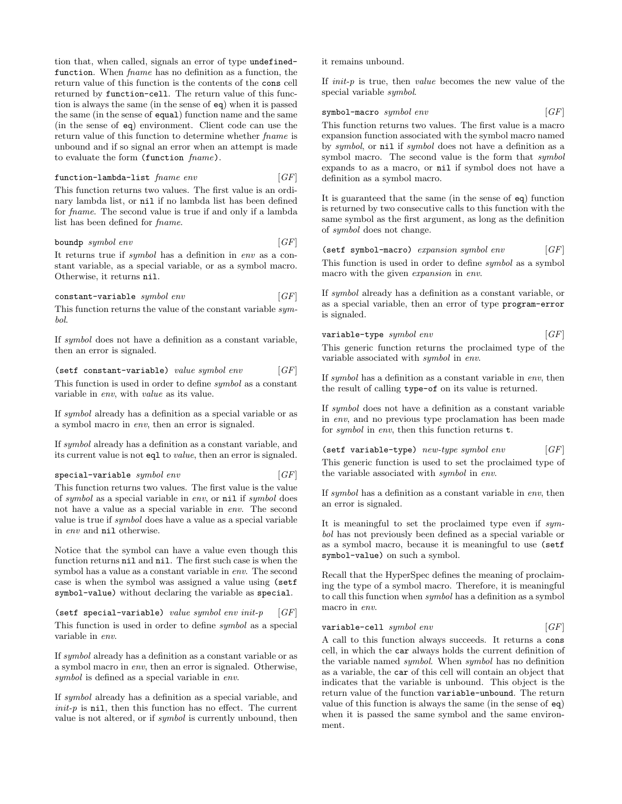tion that, when called, signals an error of type undefinedfunction. When fname has no definition as a function, the return value of this function is the contents of the cons cell returned by function-cell. The return value of this function is always the same (in the sense of eq) when it is passed the same (in the sense of equal) function name and the same (in the sense of eq) environment. Client code can use the return value of this function to determine whether fname is unbound and if so signal an error when an attempt is made to evaluate the form (function fname).

#### function-lambda-list  $fname\ env$  [GF]

This function returns two values. The first value is an ordinary lambda list, or nil if no lambda list has been defined for fname. The second value is true if and only if a lambda list has been defined for fname.

#### boundp symbol env  $[GF]$

It returns true if symbol has a definition in env as a constant variable, as a special variable, or as a symbol macro. Otherwise, it returns nil.

#### $constant-variable \ symbol \ env \ \ [GF]$

This function returns the value of the constant variable symbol.

If symbol does not have a definition as a constant variable, then an error is signaled.

(setf constant-variable) value symbol env  $[GF]$ 

This function is used in order to define symbol as a constant variable in env, with value as its value.

If symbol already has a definition as a special variable or as a symbol macro in env, then an error is signaled.

If symbol already has a definition as a constant variable, and its current value is not eql to value, then an error is signaled.

#### $special-variable \ symbol \ env$  [GF]

This function returns two values. The first value is the value of symbol as a special variable in env, or nil if symbol does not have a value as a special variable in env. The second value is true if symbol does have a value as a special variable in env and nil otherwise.

Notice that the symbol can have a value even though this function returns nil and nil. The first such case is when the symbol has a value as a constant variable in env. The second case is when the symbol was assigned a value using (setf symbol-value) without declaring the variable as special.

(setf special-variable) value symbol env init-p  $[GF]$ This function is used in order to define symbol as a special variable in env.

If symbol already has a definition as a constant variable or as a symbol macro in env, then an error is signaled. Otherwise, symbol is defined as a special variable in env.

If symbol already has a definition as a special variable, and init-p is nil, then this function has no effect. The current value is not altered, or if *symbol* is currently unbound, then it remains unbound.

If  $init-p$  is true, then *value* becomes the new value of the special variable symbol.

 $symbol$ -macro symbol env  $[GF]$ 

This function returns two values. The first value is a macro expansion function associated with the symbol macro named by symbol, or nil if symbol does not have a definition as a symbol macro. The second value is the form that symbol expands to as a macro, or nil if symbol does not have a definition as a symbol macro.

It is guaranteed that the same (in the sense of eq) function is returned by two consecutive calls to this function with the same symbol as the first argument, as long as the definition of symbol does not change.

(setf symbol-macro) expansion symbol env  $[GF]$ This function is used in order to define symbol as a symbol macro with the given expansion in env.

If symbol already has a definition as a constant variable, or as a special variable, then an error of type program-error is signaled.

| $\verb variable-type  symbol env $ |  |  | $\lceil GF \rceil$ |  |
|------------------------------------|--|--|--------------------|--|
|------------------------------------|--|--|--------------------|--|

This generic function returns the proclaimed type of the variable associated with symbol in env.

If symbol has a definition as a constant variable in env, then the result of calling type-of on its value is returned.

If symbol does not have a definition as a constant variable in env, and no previous type proclamation has been made for symbol in env, then this function returns t.

(setf variable-type)  $new-type symbol env$  [GF]

This generic function is used to set the proclaimed type of the variable associated with symbol in env.

If symbol has a definition as a constant variable in env, then an error is signaled.

It is meaningful to set the proclaimed type even if symbol has not previously been defined as a special variable or as a symbol macro, because it is meaningful to use (setf symbol-value) on such a symbol.

Recall that the HyperSpec defines the meaning of proclaiming the type of a symbol macro. Therefore, it is meaningful to call this function when symbol has a definition as a symbol macro in env.

#### variable-cell symbol env  $[GF]$

A call to this function always succeeds. It returns a cons cell, in which the car always holds the current definition of the variable named symbol. When symbol has no definition as a variable, the car of this cell will contain an object that indicates that the variable is unbound. This object is the return value of the function variable-unbound. The return value of this function is always the same (in the sense of eq) when it is passed the same symbol and the same environment.